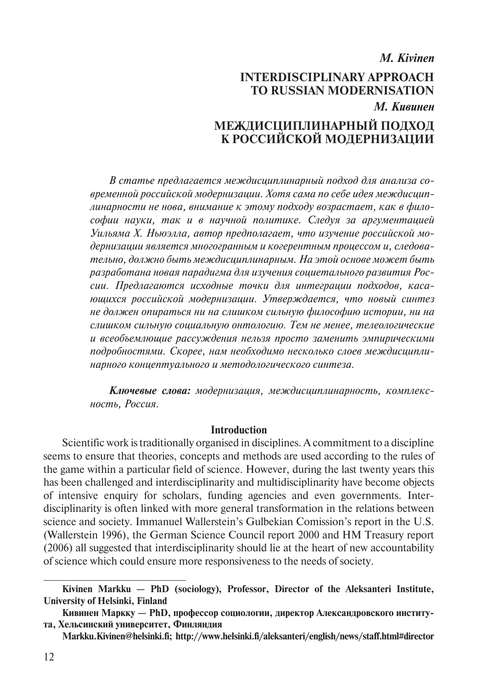# *M. Kivinen* **INTERDISCIPLINARY APPROACH TO RUSSIAN MODERNISATION**  *М. Кивинен*

# **МЕЖДИСЦИПЛИНАРНЫЙ ПОДХОД К РОССИЙСКОЙ МОДЕРНИЗАЦИИ**

*В cтатье предлагается междисциплинарный подход для анализа современной российской модернизации. Хотя сама по себе идея междисциплинарности не нова, внимание к этому подходу возрастает, как в философии науки, так и в научной политике. Следуя за аргументацией Уильяма Х. Ньюэлла, автор предполагает, что изучение российской модернизации является многогранным и когерентным процессом и, следовательно, должно быть междисциплинарным. На этой основе может быть разработана новая парадигма для изучения социетального развития России. Предлагаются исходные точки для интеграции подходов, касающихся российской модернизации. Утверждается, что новый синтез не должен опираться ни на слишком сильную философию истории, ни на слишком сильную социальную онтологию. Тем не менее, телеологические и всеобъемлющие рассуждения нельзя просто заменить эмпирическими подробностями. Скорее, нам необходимо несколько слоев междисциплинарного концептуального и методологического синтеза.*

*Ключевые слова: модернизация, междисциплинарность, комплексность, Россия.*

#### **Introduction**

Scientific work is traditionally organised in disciplines. A commitment to a discipline seems to ensure that theories, concepts and methods are used according to the rules of the game within a particular field of science. However, during the last twenty years this has been challenged and interdisciplinarity and multidisciplinarity have become objects of intensive enquiry for scholars, funding agencies and even governments. Interdisciplinarity is often linked with more general transformation in the relations between science and society. Immanuel Wallerstein's Gulbekian Comission's report in the U.S. (Wallerstein 1996), the German Science Council report 2000 and HM Treasury report (2006) all suggested that interdisciplinarity should lie at the heart of new accountability of science which could ensure more responsiveness to the needs of society.

**Kivinen Markku — PhD (sociology), Professor, Director of the Aleksanteri Institute, University of Helsinki, Finland**

**Кивинен Маркку — PhD, профессор социологии, директор Александровского института, Хельсинский университет, Финляндия**

**Markku.Kivinen@helsinki.fi; http://www.helsinki.fi/aleksanteri/english/news/staff.html#director**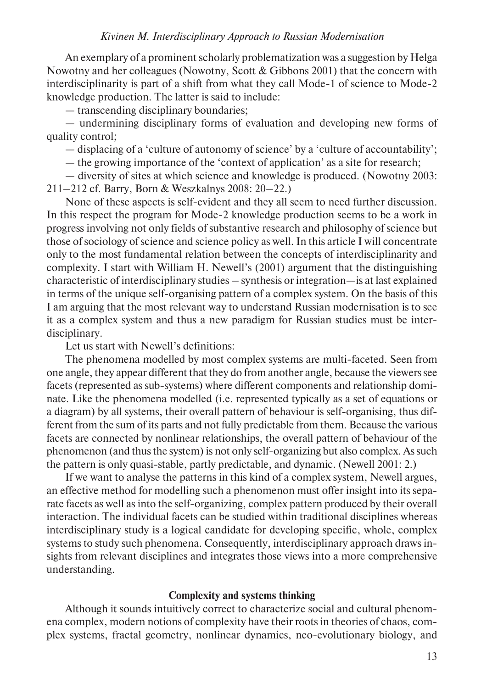An exemplary of a prominent scholarly problematization was a suggestion by Helga Nowotny and her colleagues (Nowotny, Scott & Gibbons 2001) that the concern with interdisciplinarity is part of a shift from what they call Mode-1 of science to Mode-2 knowledge production. The latter is said to include:

— transcending disciplinary boundaries;

— undermining disciplinary forms of evaluation and developing new forms of quality control;

— displacing of a 'culture of autonomy of science' by a 'culture of accountability';

— the growing importance of the 'context of application' as a site for research;

— diversity of sites at which science and knowledge is produced. (Nowotny 2003: 211–212 cf. Barry, Born & Weszkalnys 2008: 20–22.)

None of these aspects is self-evident and they all seem to need further discussion. In this respect the program for Mode-2 knowledge production seems to be a work in progress involving not only fields of substantive research and philosophy of science but those of sociology of science and science policy as well. In this article I will concentrate only to the most fundamental relation between the concepts of interdisciplinarity and complexity. I start with William H. Newell's (2001) argument that the distinguishing characteristic of interdisciplinary studies – synthesis or integration—is at last explained in terms of the unique self-organising pattern of a complex system. On the basis of this I am arguing that the most relevant way to understand Russian modernisation is to see it as a complex system and thus a new paradigm for Russian studies must be interdisciplinary.

Let us start with Newell's definitions:

The phenomena modelled by most complex systems are multi-faceted. Seen from one angle, they appear different that they do from another angle, because the viewers see facets (represented as sub-systems) where different components and relationship dominate. Like the phenomena modelled (i.e. represented typically as a set of equations or a diagram) by all systems, their overall pattern of behaviour is self-organising, thus different from the sum of its parts and not fully predictable from them. Because the various facets are connected by nonlinear relationships, the overall pattern of behaviour of the phenomenon (and thus the system) is not only self-organizing but also complex. As such the pattern is only quasi-stable, partly predictable, and dynamic. (Newell 2001: 2.)

If we want to analyse the patterns in this kind of a complex system, Newell argues, an effective method for modelling such a phenomenon must offer insight into its separate facets as well as into the self-organizing, complex pattern produced by their overall interaction. The individual facets can be studied within traditional disciplines whereas interdisciplinary study is a logical candidate for developing specific, whole, complex systems to study such phenomena. Consequently, interdisciplinary approach draws insights from relevant disciplines and integrates those views into a more comprehensive understanding.

#### **Complexity and systems thinking**

Although it sounds intuitively correct to characterize social and cultural phenomena complex, modern notions of complexity have their roots in theories of chaos, complex systems, fractal geometry, nonlinear dynamics, neo-evolutionary biology, and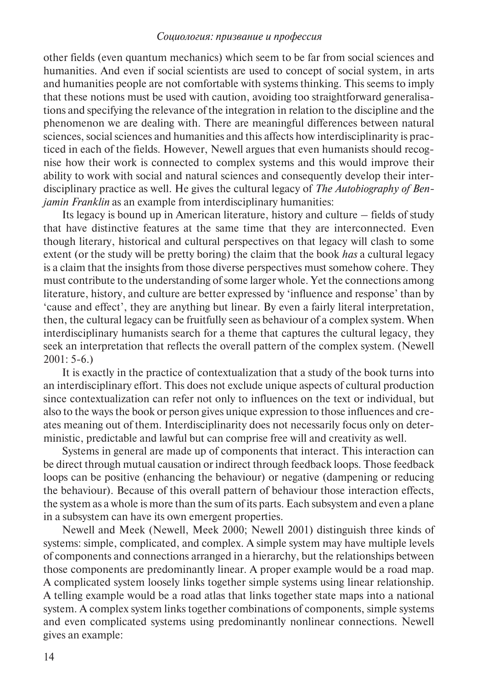other fields (even quantum mechanics) which seem to be far from social sciences and humanities. And even if social scientists are used to concept of social system, in arts and humanities people are not comfortable with systems thinking. This seems to imply that these notions must be used with caution, avoiding too straightforward generalisations and specifying the relevance of the integration in relation to the discipline and the phenomenon we are dealing with. There are meaningful differences between natural sciences, social sciences and humanities and this affects how interdisciplinarity is practiced in each of the fields. However, Newell argues that even humanists should recognise how their work is connected to complex systems and this would improve their ability to work with social and natural sciences and consequently develop their interdisciplinary practice as well. He gives the cultural legacy of *The Autobiography of Benjamin Franklin* as an example from interdisciplinary humanities:

Its legacy is bound up in American literature, history and culture – fields of study that have distinctive features at the same time that they are interconnected. Even though literary, historical and cultural perspectives on that legacy will clash to some extent (or the study will be pretty boring) the claim that the book *has* a cultural legacy is a claim that the insights from those diverse perspectives must somehow cohere. They must contribute to the understanding of some larger whole. Yet the connections among literature, history, and culture are better expressed by 'influence and response' than by 'cause and effect', they are anything but linear. By even a fairly literal interpretation, then, the cultural legacy can be fruitfully seen as behaviour of a complex system. When interdisciplinary humanists search for a theme that captures the cultural legacy, they seek an interpretation that reflects the overall pattern of the complex system. (Newell  $2001: 5-6.$ 

It is exactly in the practice of contextualization that a study of the book turns into an interdisciplinary effort. This does not exclude unique aspects of cultural production since contextualization can refer not only to influences on the text or individual, but also to the ways the book or person gives unique expression to those influences and creates meaning out of them. Interdisciplinarity does not necessarily focus only on deterministic, predictable and lawful but can comprise free will and creativity as well.

Systems in general are made up of components that interact. This interaction can be direct through mutual causation or indirect through feedback loops. Those feedback loops can be positive (enhancing the behaviour) or negative (dampening or reducing the behaviour). Because of this overall pattern of behaviour those interaction effects, the system as a whole is more than the sum of its parts. Each subsystem and even a plane in a subsystem can have its own emergent properties.

Newell and Meek (Newell, Meek 2000; Newell 2001) distinguish three kinds of systems: simple, complicated, and complex. A simple system may have multiple levels of components and connections arranged in a hierarchy, but the relationships between those components are predominantly linear. A proper example would be a road map. A complicated system loosely links together simple systems using linear relationship. A telling example would be a road atlas that links together state maps into a national system. A complex system links together combinations of components, simple systems and even complicated systems using predominantly nonlinear connections. Newell gives an example: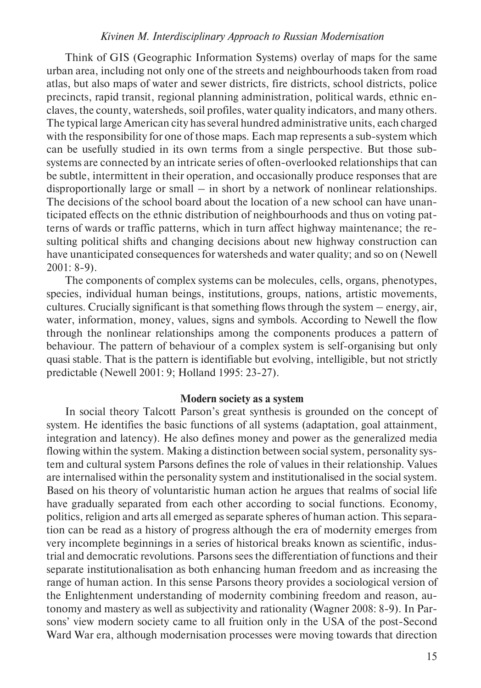Think of GIS (Geographic Information Systems) overlay of maps for the same urban area, including not only one of the streets and neighbourhoods taken from road atlas, but also maps of water and sewer districts, fire districts, school districts, police precincts, rapid transit, regional planning administration, political wards, ethnic enclaves, the county, watersheds, soil profiles, water quality indicators, and many others. The typical large American city has several hundred administrative units, each charged with the responsibility for one of those maps. Each map represents a sub-system which can be usefully studied in its own terms from a single perspective. But those subsystems are connected by an intricate series of often-overlooked relationships that can be subtle, intermittent in their operation, and occasionally produce responses that are disproportionally large or small – in short by a network of nonlinear relationships. The decisions of the school board about the location of a new school can have unanticipated effects on the ethnic distribution of neighbourhoods and thus on voting patterns of wards or traffic patterns, which in turn affect highway maintenance; the resulting political shifts and changing decisions about new highway construction can have unanticipated consequences for watersheds and water quality; and so on (Newell 2001: 8-9).

The components of complex systems can be molecules, cells, organs, phenotypes, species, individual human beings, institutions, groups, nations, artistic movements, cultures. Crucially significant is that something flows through the system – energy, air, water, information, money, values, signs and symbols. According to Newell the flow through the nonlinear relationships among the components produces a pattern of behaviour. The pattern of behaviour of a complex system is self-organising but only quasi stable. That is the pattern is identifiable but evolving, intelligible, but not strictly predictable (Newell 2001: 9; Holland 1995: 23-27).

### **Modern society as a system**

In social theory Talcott Parson's great synthesis is grounded on the concept of system. He identifies the basic functions of all systems (adaptation, goal attainment, integration and latency). He also defines money and power as the generalized media flowing within the system. Making a distinction between social system, personality system and cultural system Parsons defines the role of values in their relationship. Values are internalised within the personality system and institutionalised in the social system. Based on his theory of voluntaristic human action he argues that realms of social life have gradually separated from each other according to social functions. Economy, politics, religion and arts all emerged as separate spheres of human action. This separation can be read as a history of progress although the era of modernity emerges from very incomplete beginnings in a series of historical breaks known as scientific, industrial and democratic revolutions. Parsons sees the differentiation of functions and their separate institutionalisation as both enhancing human freedom and as increasing the range of human action. In this sense Parsons theory provides a sociological version of the Enlightenment understanding of modernity combining freedom and reason, autonomy and mastery as well as subjectivity and rationality (Wagner 2008: 8-9). In Parsons' view modern society came to all fruition only in the USA of the post-Second Ward War era, although modernisation processes were moving towards that direction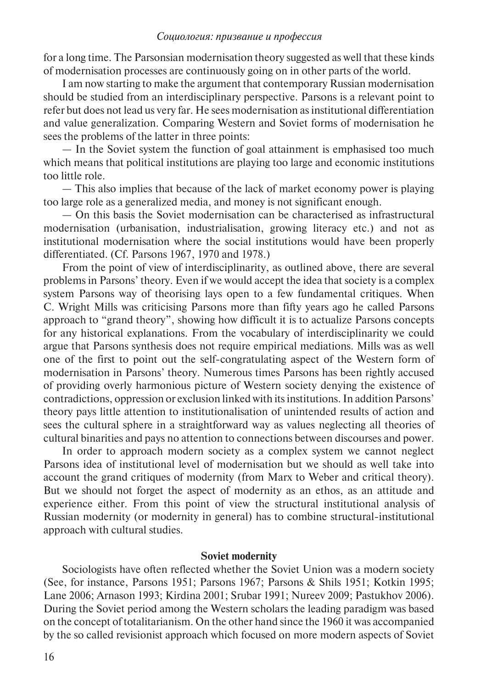for a long time. The Parsonsian modernisation theory suggested as well that these kinds of modernisation processes are continuously going on in other parts of the world.

I am now starting to make the argument that contemporary Russian modernisation should be studied from an interdisciplinary perspective. Parsons is a relevant point to refer but does not lead us very far. He sees modernisation as institutional differentiation and value generalization. Comparing Western and Soviet forms of modernisation he sees the problems of the latter in three points:

— In the Soviet system the function of goal attainment is emphasised too much which means that political institutions are playing too large and economic institutions too little role.

— This also implies that because of the lack of market economy power is playing too large role as a generalized media, and money is not significant enough.

— On this basis the Soviet modernisation can be characterised as infrastructural modernisation (urbanisation, industrialisation, growing literacy etc.) and not as institutional modernisation where the social institutions would have been properly differentiated. (Cf. Parsons 1967, 1970 and 1978.)

From the point of view of interdisciplinarity, as outlined above, there are several problems in Parsons' theory. Even if we would accept the idea that society is a complex system Parsons way of theorising lays open to a few fundamental critiques. When C. Wright Mills was criticising Parsons more than fifty years ago he called Parsons approach to "grand theory", showing how difficult it is to actualize Parsons concepts for any historical explanations. From the vocabulary of interdisciplinarity we could argue that Parsons synthesis does not require empirical mediations. Mills was as well one of the first to point out the self-congratulating aspect of the Western form of modernisation in Parsons' theory. Numerous times Parsons has been rightly accused of providing overly harmonious picture of Western society denying the existence of contradictions, oppression or exclusion linked with its institutions. In addition Parsons' theory pays little attention to institutionalisation of unintended results of action and sees the cultural sphere in a straightforward way as values neglecting all theories of cultural binarities and pays no attention to connections between discourses and power.

In order to approach modern society as a complex system we cannot neglect Parsons idea of institutional level of modernisation but we should as well take into account the grand critiques of modernity (from Marx to Weber and critical theory). But we should not forget the aspect of modernity as an ethos, as an attitude and experience either. From this point of view the structural institutional analysis of Russian modernity (or modernity in general) has to combine structural-institutional approach with cultural studies.

#### **Soviet modernity**

Sociologists have often reflected whether the Soviet Union was a modern society (See, for instance, Parsons 1951; Parsons 1967; Parsons & Shils 1951; Kotkin 1995; Lane 2006; Arnason 1993; Kirdina 2001; Srubar 1991; Nureev 2009; Pastukhov 2006). During the Soviet period among the Western scholars the leading paradigm was based on the concept of totalitarianism. On the other hand since the 1960 it was accompanied by the so called revisionist approach which focused on more modern aspects of Soviet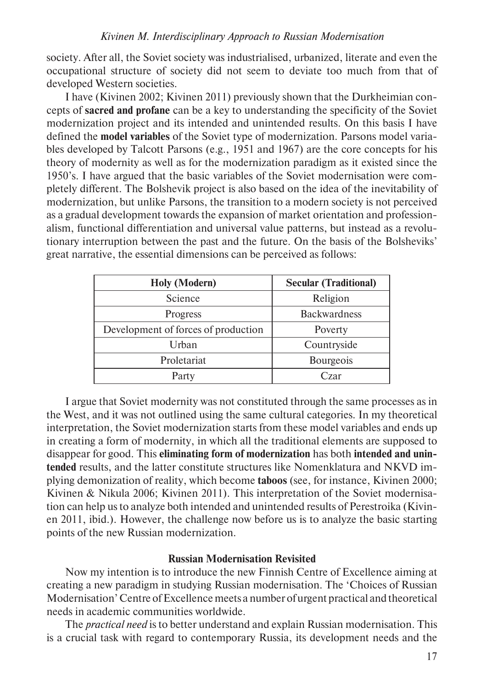society. After all, the Soviet society was industrialised, urbanized, literate and even the occupational structure of society did not seem to deviate too much from that of developed Western societies.

I have (Kivinen 2002; Kivinen 2011) previously shown that the Durkheimian concepts of **sacred and profane** can be a key to understanding the specificity of the Soviet modernization project and its intended and unintended results. On this basis I have defined the **model variables** of the Soviet type of modernization. Parsons model variables developed by Talcott Parsons (e.g., 1951 and 1967) are the core concepts for his theory of modernity as well as for the modernization paradigm as it existed since the 1950's. I have argued that the basic variables of the Soviet modernisation were completely different. The Bolshevik project is also based on the idea of the inevitability of modernization, but unlike Parsons, the transition to a modern society is not perceived as a gradual development towards the expansion of market orientation and professionalism, functional differentiation and universal value patterns, but instead as a revolutionary interruption between the past and the future. On the basis of the Bolsheviks' great narrative, the essential dimensions can be perceived as follows:

| <b>Holy</b> (Modern)                | <b>Secular (Traditional)</b> |
|-------------------------------------|------------------------------|
| Science                             | Religion                     |
| <b>Progress</b>                     | <b>Backwardness</b>          |
| Development of forces of production | Poverty                      |
| Urban                               | Countryside                  |
| Proletariat                         | <b>Bourgeois</b>             |
| Party                               | Czar                         |

I argue that Soviet modernity was not constituted through the same processes as in the West, and it was not outlined using the same cultural categories. In my theoretical interpretation, the Soviet modernization starts from these model variables and ends up in creating a form of modernity, in which all the traditional elements are supposed to disappear for good. This **eliminating form of modernization** has both **intended and unintended** results, and the latter constitute structures like Nomenklatura and NKVD implying demonization of reality, which become **taboos** (see, for instance, Kivinen 2000; Kivinen & Nikula 2006; Kivinen 2011). This interpretation of the Soviet modernisation can help us to analyze both intended and unintended results of Perestroika (Kivinen 2011, ibid.). However, the challenge now before us is to analyze the basic starting points of the new Russian modernization.

# **Russian Modernisation Revisited**

Now my intention is to introduce the new Finnish Centre of Excellence aiming at creating a new paradigm in studying Russian modernisation. The 'Choices of Russian Modernisation' Centre of Excellence meets a number of urgent practical and theoretical needs in academic communities worldwide.

The *practical need* is to better understand and explain Russian modernisation. This is a crucial task with regard to contemporary Russia, its development needs and the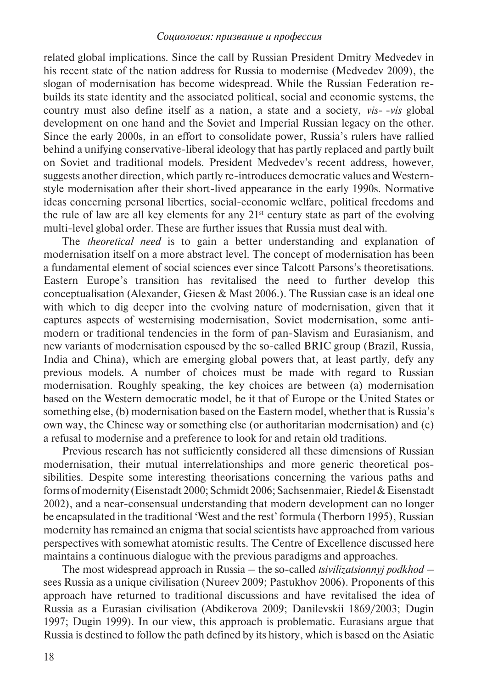related global implications. Since the call by Russian President Dmitry Medvedev in his recent state of the nation address for Russia to modernise (Medvedev 2009), the slogan of modernisation has become widespread. While the Russian Federation rebuilds its state identity and the associated political, social and economic systems, the country must also define itself as a nation, a state and a society, *vis- -vis* global development on one hand and the Soviet and Imperial Russian legacy on the other. Since the early 2000s, in an effort to consolidate power, Russia's rulers have rallied behind a unifying conservative-liberal ideology that has partly replaced and partly built on Soviet and traditional models. President Medvedev's recent address, however, suggests another direction, which partly re-introduces democratic values and Westernstyle modernisation after their short-lived appearance in the early 1990s. Normative ideas concerning personal liberties, social-economic welfare, political freedoms and the rule of law are all key elements for any  $21<sup>st</sup>$  century state as part of the evolving multi-level global order. These are further issues that Russia must deal with.

The *theoretical need* is to gain a better understanding and explanation of modernisation itself on a more abstract level. The concept of modernisation has been a fundamental element of social sciences ever since Talcott Parsons's theoretisations. Eastern Europe's transition has revitalised the need to further develop this conceptualisation (Alexander, Giesen & Mast 2006.). The Russian case is an ideal one with which to dig deeper into the evolving nature of modernisation, given that it captures aspects of westernising modernisation, Soviet modernisation, some antimodern or traditional tendencies in the form of pan-Slavism and Eurasianism, and new variants of modernisation espoused by the so-called BRIC group (Brazil, Russia, India and China), which are emerging global powers that, at least partly, defy any previous models. A number of choices must be made with regard to Russian modernisation. Roughly speaking, the key choices are between (a) modernisation based on the Western democratic model, be it that of Europe or the United States or something else, (b) modernisation based on the Eastern model, whether that is Russia's own way, the Chinese way or something else (or authoritarian modernisation) and (c) a refusal to modernise and a preference to look for and retain old traditions.

Previous research has not sufficiently considered all these dimensions of Russian modernisation, their mutual interrelationships and more generic theoretical possibilities. Despite some interesting theorisations concerning the various paths and forms of modernity (Eisenstadt 2000; Schmidt 2006; Sachsenmaier, Riedel & Eisenstadt 2002), and a near-consensual understanding that modern development can no longer be encapsulated in the traditional 'West and the rest' formula (Therborn 1995), Russian modernity has remained an enigma that social scientists have approached from various perspectives with somewhat atomistic results. The Centre of Excellence discussed here maintains a continuous dialogue with the previous paradigms and approaches.

The most widespread approach in Russia – the so-called *tsivilizatsionnyj podkhod –*  sees Russia as a unique civilisation (Nureev 2009; Pastukhov 2006). Proponents of this approach have returned to traditional discussions and have revitalised the idea of Russia as a Eurasian civilisation (Abdikerova 2009; Danilevskii 1869/2003; Dugin 1997; Dugin 1999). In our view, this approach is problematic. Eurasians argue that Russia is destined to follow the path defined by its history, which is based on the Asiatic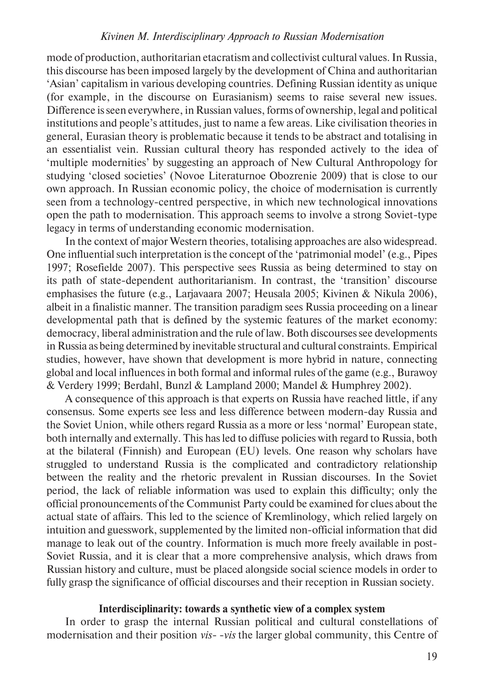mode of production, authoritarian etacratism and collectivist cultural values. In Russia, this discourse has been imposed largely by the development of China and authoritarian 'Asian' capitalism in various developing countries. Defining Russian identity as unique (for example, in the discourse on Eurasianism) seems to raise several new issues. Difference is seen everywhere, in Russian values, forms of ownership, legal and political institutions and people's attitudes, just to name a few areas. Like civilisation theories in general, Eurasian theory is problematic because it tends to be abstract and totalising in an essentialist vein. Russian cultural theory has responded actively to the idea of 'multiple modernities' by suggesting an approach of New Cultural Anthropology for studying 'closed societies' (Novoe Literaturnoe Obozrenie 2009) that is close to our own approach. In Russian economic policy, the choice of modernisation is currently seen from a technology-centred perspective, in which new technological innovations open the path to modernisation. This approach seems to involve a strong Soviet-type legacy in terms of understanding economic modernisation.

In the context of major Western theories, totalising approaches are also widespread. One influential such interpretation is the concept of the 'patrimonial model' (e.g., Pipes 1997; Rosefielde 2007). This perspective sees Russia as being determined to stay on its path of state-dependent authoritarianism. In contrast, the 'transition' discourse emphasises the future (e.g., Larjavaara 2007; Heusala 2005; Kivinen & Nikula 2006), albeit in a finalistic manner. The transition paradigm sees Russia proceeding on a linear developmental path that is defined by the systemic features of the market economy: democracy, liberal administration and the rule of law. Both discourses see developments in Russia as being determined by inevitable structural and cultural constraints. Empirical studies, however, have shown that development is more hybrid in nature, connecting global and local influences in both formal and informal rules of the game (e.g., Burawoy & Verdery 1999; Berdahl, Bunzl & Lampland 2000; Mandel & Humphrey 2002).

A consequence of this approach is that experts on Russia have reached little, if any consensus. Some experts see less and less difference between modern-day Russia and the Soviet Union, while others regard Russia as a more or less 'normal' European state, both internally and externally. This has led to diffuse policies with regard to Russia, both at the bilateral (Finnish) and European (EU) levels. One reason why scholars have struggled to understand Russia is the complicated and contradictory relationship between the reality and the rhetoric prevalent in Russian discourses. In the Soviet period, the lack of reliable information was used to explain this difficulty; only the official pronouncements of the Communist Party could be examined for clues about the actual state of affairs. This led to the science of Kremlinology, which relied largely on intuition and guesswork, supplemented by the limited non-official information that did manage to leak out of the country. Information is much more freely available in post-Soviet Russia, and it is clear that a more comprehensive analysis, which draws from Russian history and culture, must be placed alongside social science models in order to fully grasp the significance of official discourses and their reception in Russian society.

## **Interdisciplinarity: towards a synthetic view of a complex system**

In order to grasp the internal Russian political and cultural constellations of modernisation and their position *vis- -vis* the larger global community, this Centre of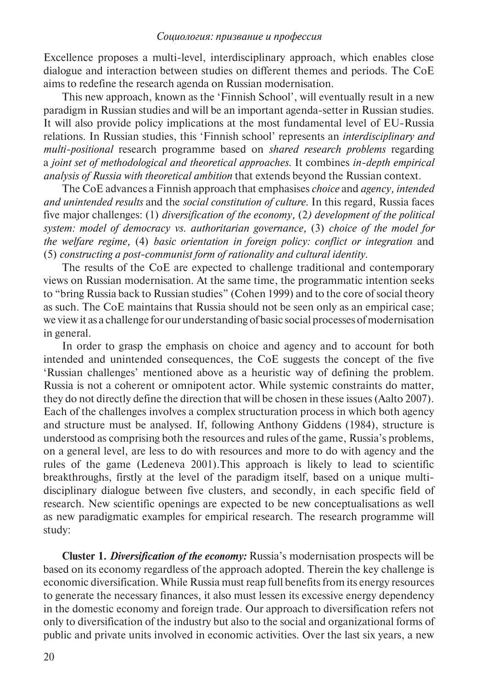Excellence proposes a multi-level, interdisciplinary approach, which enables close dialogue and interaction between studies on different themes and periods. The CoE aims to redefine the research agenda on Russian modernisation.

This new approach, known as the 'Finnish School', will eventually result in a new paradigm in Russian studies and will be an important agenda-setter in Russian studies. It will also provide policy implications at the most fundamental level of EU-Russia relations. In Russian studies, this 'Finnish school' represents an *interdisciplinary and multi-positional* research programme based on *shared research problems* regarding a *joint set of methodological and theoretical approaches.* It combines *in-depth empirical analysis of Russia with theoretical ambition* that extends beyond the Russian context.

The CoE advances a Finnish approach that emphasises *choice* and *agency, intended and unintended results* and the *social constitution of culture*. In this regard, Russia faces five major challenges: (1) *diversification of the economy,* (2*) development of the political system: model of democracy vs. authoritarian governance,* (3) *choice of the model for the welfare regime,* (4) *basic orientation in foreign policy: conflict or integration* and (5) *constructing a post-communist form of rationality and cultural identity*.

The results of the CoE are expected to challenge traditional and contemporary views on Russian modernisation. At the same time, the programmatic intention seeks to "bring Russia back to Russian studies" (Cohen 1999) and to the core of social theory as such. The CoE maintains that Russia should not be seen only as an empirical case; we view it as a challenge for our understanding of basic social processes of modernisation in general.

In order to grasp the emphasis on choice and agency and to account for both intended and unintended consequences, the CoE suggests the concept of the five 'Russian challenges' mentioned above as a heuristic way of defining the problem. Russia is not a coherent or omnipotent actor. While systemic constraints do matter, they do not directly define the direction that will be chosen in these issues (Aalto 2007). Each of the challenges involves a complex structuration process in which both agency and structure must be analysed. If, following Anthony Giddens (1984), structure is understood as comprising both the resources and rules of the game, Russia's problems, on a general level, are less to do with resources and more to do with agency and the rules of the game (Ledeneva 2001).This approach is likely to lead to scientific breakthroughs, firstly at the level of the paradigm itself, based on a unique multidisciplinary dialogue between five clusters, and secondly, in each specific field of research. New scientific openings are expected to be new conceptualisations as well as new paradigmatic examples for empirical research. The research programme will study:

**Cluster 1.** *Diversification of the economy:* Russia's modernisation prospects will be based on its economy regardless of the approach adopted. Therein the key challenge is economic diversification. While Russia must reap full benefits from its energy resources to generate the necessary finances, it also must lessen its excessive energy dependency in the domestic economy and foreign trade. Our approach to diversification refers not only to diversification of the industry but also to the social and organizational forms of public and private units involved in economic activities. Over the last six years, a new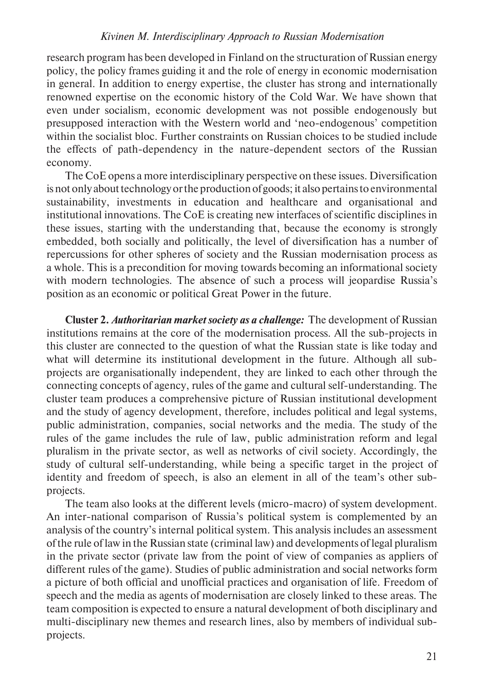research program has been developed in Finland on the structuration of Russian energy policy, the policy frames guiding it and the role of energy in economic modernisation in general. In addition to energy expertise, the cluster has strong and internationally renowned expertise on the economic history of the Cold War. We have shown that even under socialism, economic development was not possible endogenously but presupposed interaction with the Western world and 'neo-endogenous' competition within the socialist bloc. Further constraints on Russian choices to be studied include the effects of path-dependency in the nature-dependent sectors of the Russian economy.

The CoE opens a more interdisciplinary perspective on these issues. Diversification is not only about technology or the production of goods; it also pertains to environmental sustainability, investments in education and healthcare and organisational and institutional innovations. The CoE is creating new interfaces of scientific disciplines in these issues, starting with the understanding that, because the economy is strongly embedded, both socially and politically, the level of diversification has a number of repercussions for other spheres of society and the Russian modernisation process as a whole. This is a precondition for moving towards becoming an informational society with modern technologies. The absence of such a process will jeopardise Russia's position as an economic or political Great Power in the future.

**Cluster 2.** *Authoritarian market society as a challenge:* The development of Russian institutions remains at the core of the modernisation process. All the sub-projects in this cluster are connected to the question of what the Russian state is like today and what will determine its institutional development in the future. Although all subprojects are organisationally independent, they are linked to each other through the connecting concepts of agency, rules of the game and cultural self-understanding. The cluster team produces a comprehensive picture of Russian institutional development and the study of agency development, therefore, includes political and legal systems, public administration, companies, social networks and the media. The study of the rules of the game includes the rule of law, public administration reform and legal pluralism in the private sector, as well as networks of civil society. Accordingly, the study of cultural self-understanding, while being a specific target in the project of identity and freedom of speech, is also an element in all of the team's other subprojects.

The team also looks at the different levels (micro-macro) of system development. An inter-national comparison of Russia's political system is complemented by an analysis of the country's internal political system. This analysis includes an assessment of the rule of law in the Russian state (criminal law) and developments of legal pluralism in the private sector (private law from the point of view of companies as appliers of different rules of the game). Studies of public administration and social networks form a picture of both official and unofficial practices and organisation of life. Freedom of speech and the media as agents of modernisation are closely linked to these areas. The team composition is expected to ensure a natural development of both disciplinary and multi-disciplinary new themes and research lines, also by members of individual subprojects.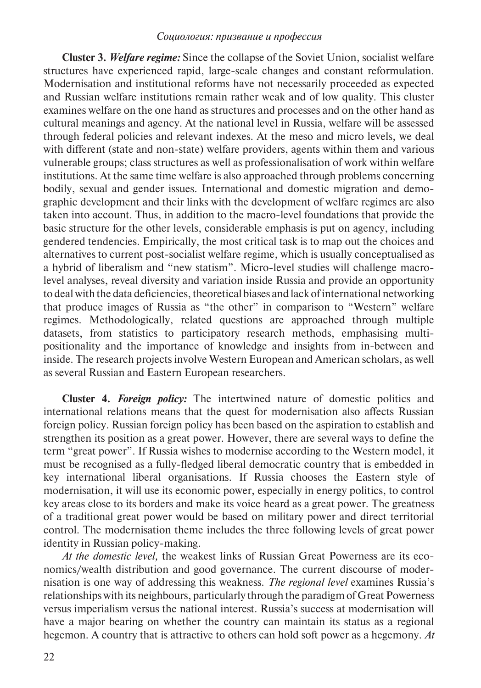**Cluster 3.** *Welfare regime:* Since the collapse of the Soviet Union, socialist welfare structures have experienced rapid, large-scale changes and constant reformulation. Modernisation and institutional reforms have not necessarily proceeded as expected and Russian welfare institutions remain rather weak and of low quality. This cluster examines welfare on the one hand as structures and processes and on the other hand as cultural meanings and agency. At the national level in Russia, welfare will be assessed through federal policies and relevant indexes. At the meso and micro levels, we deal with different (state and non-state) welfare providers, agents within them and various vulnerable groups; class structures as well as professionalisation of work within welfare institutions. At the same time welfare is also approached through problems concerning bodily, sexual and gender issues. International and domestic migration and demographic development and their links with the development of welfare regimes are also taken into account. Thus, in addition to the macro-level foundations that provide the basic structure for the other levels, considerable emphasis is put on agency, including gendered tendencies. Empirically, the most critical task is to map out the choices and alternatives to current post-socialist welfare regime, which is usually conceptualised as a hybrid of liberalism and "new statism". Micro-level studies will challenge macrolevel analyses, reveal diversity and variation inside Russia and provide an opportunity to deal with the data deficiencies, theoretical biases and lack of international networking that produce images of Russia as "the other" in comparison to "Western" welfare regimes. Methodologically, related questions are approached through multiple datasets, from statistics to participatory research methods, emphasising multipositionality and the importance of knowledge and insights from in-between and inside. The research projects involve Western European and American scholars, as well as several Russian and Eastern European researchers.

**Cluster 4.** *Foreign policy:* The intertwined nature of domestic politics and international relations means that the quest for modernisation also affects Russian foreign policy. Russian foreign policy has been based on the aspiration to establish and strengthen its position as a great power. However, there are several ways to define the term "great power". If Russia wishes to modernise according to the Western model, it must be recognised as a fully-fledged liberal democratic country that is embedded in key international liberal organisations. If Russia chooses the Eastern style of modernisation, it will use its economic power, especially in energy politics, to control key areas close to its borders and make its voice heard as a great power. The greatness of a traditional great power would be based on military power and direct territorial control. The modernisation theme includes the three following levels of great power identity in Russian policy-making.

*At the domestic level,* the weakest links of Russian Great Powerness are its economics/wealth distribution and good governance. The current discourse of modernisation is one way of addressing this weakness. *The regional level* examines Russia's relationships with its neighbours, particularly through the paradigm of Great Powerness versus imperialism versus the national interest. Russia's success at modernisation will have a major bearing on whether the country can maintain its status as a regional hegemon. A country that is attractive to others can hold soft power as a hegemony. *At*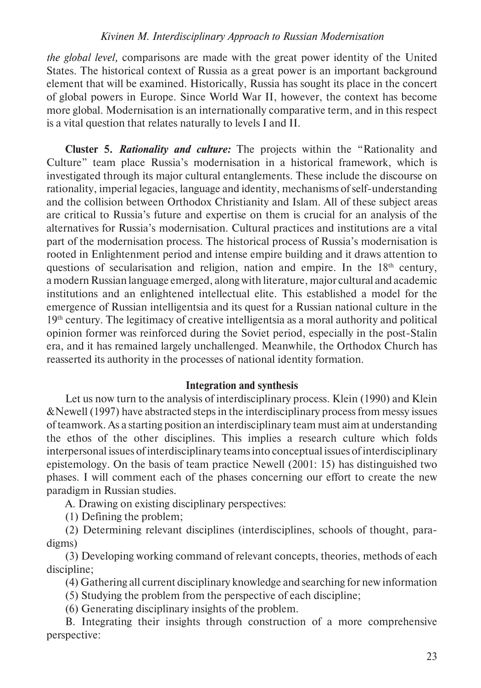*the global level,* comparisons are made with the great power identity of the United States. The historical context of Russia as a great power is an important background element that will be examined. Historically, Russia has sought its place in the concert of global powers in Europe. Since World War II, however, the context has become more global. Modernisation is an internationally comparative term, and in this respect is a vital question that relates naturally to levels I and II.

**Cluster 5.** *Rationality and culture:* The projects within the "Rationality and Culture" team place Russia's modernisation in a historical framework, which is investigated through its major cultural entanglements. These include the discourse on rationality, imperial legacies, language and identity, mechanisms of self-understanding and the collision between Orthodox Christianity and Islam. All of these subject areas are critical to Russia's future and expertise on them is crucial for an analysis of the alternatives for Russia's modernisation. Cultural practices and institutions are a vital part of the modernisation process. The historical process of Russia's modernisation is rooted in Enlightenment period and intense empire building and it draws attention to questions of secularisation and religion, nation and empire. In the  $18<sup>th</sup>$  century, a modern Russian language emerged, along with literature, major cultural and academic institutions and an enlightened intellectual elite. This established a model for the emergence of Russian intelligentsia and its quest for a Russian national culture in the 19th century. The legitimacy of creative intelligentsia as a moral authority and political opinion former was reinforced during the Soviet period, especially in the post-Stalin era, and it has remained largely unchallenged. Meanwhile, the Orthodox Church has reasserted its authority in the processes of national identity formation.

#### **Integration and synthesis**

Let us now turn to the analysis of interdisciplinary process. Klein (1990) and Klein &Newell (1997) have abstracted steps in the interdisciplinary process from messy issues of teamwork. As a starting position an interdisciplinary team must aim at under standing the ethos of the other disciplines. This implies a research culture which folds interpersonal issues of interdisciplinary teams into conceptual issues of interdisciplinary epistemology. On the basis of team practice Newell (2001: 15) has distinguished two phases. I will comment each of the phases concerning our effort to create the new paradigm in Russian studies.

А. Drawing on existing disciplinary perspectives:

(1) Defining the problem;

(2) Determining relevant disciplines (interdisciplines, schools of thought, paradigms)

(3) Developing working command of relevant concepts, theories, methods of each discipline;

(4) Gathering all current disciplinary knowledge and searching for new information

(5) Studying the problem from the perspective of each discipline;

(6) Generating disciplinary insights of the problem.

В. Integrating their insights through construction of a more comprehensive perspective: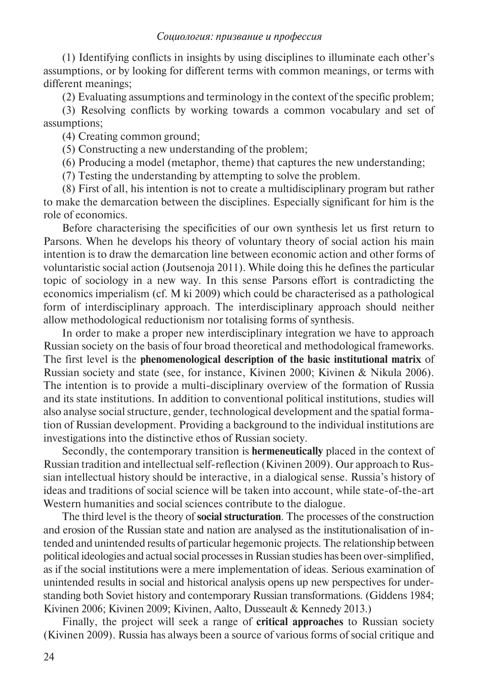(1) Identifying conflicts in insights by using disciplines to illuminate each other's assumptions, or by looking for different terms with common meanings, or terms with different meanings;

(2) Evaluating assumptions and terminology in the context of the specific problem;

(3) Resolving conflicts by working towards a common vocabulary and set of assumptions;

(4) Creating common ground;

(5) Constructing a new understanding of the problem;

(6) Producing a model (metaphor, theme) that captures the new understanding;

(7) Testing the understanding by attempting to solve the problem.

(8) First of all, his intention is not to create a multidisciplinary program but rather to make the demarcation between the disciplines. Especially significant for him is the role of economics.

Before characterising the specificities of our own synthesis let us first return to Parsons. When he develops his theory of voluntary theory of social action his main intention is to draw the demarcation line between economic action and other forms of voluntaristic social action (Joutsenoja 2011). While doing this he defines the particular topic of sociology in a new way. In this sense Parsons effort is contradicting the economics imperialism (cf. M ki 2009) which could be characterised as a pathological form of interdisciplinary approach. The interdisciplinary approach should neither allow methodological reductionism nor totalising forms of synthesis.

In order to make a proper new interdisciplinary integration we have to approach Russian society on the basis of four broad theoretical and methodological frameworks. The first level is the **phenomenological description of the basic institutional matrix** of Russian society and state (see, for instance, Kivinen 2000; Kivinen & Nikula 2006). The intention is to provide a multi-disciplinary overview of the formation of Russia and its state institutions. In addition to conventional political institutions, studies will also analyse social structure, gender, technological development and the spatial formation of Russian development. Providing a background to the individual institutions are investigations into the distinctive ethos of Russian society.

Secondly, the contemporary transition is **hermeneutically** placed in the context of Russian tradition and intellectual self-reflection (Kivinen 2009). Our approach to Russian intellectual history should be interactive, in a dialogical sense. Russia's history of ideas and traditions of social science will be taken into account, while state-of-the-art Western humanities and social sciences contribute to the dialogue.

The third level is the theory of **social structuration**. The processes of the construction and erosion of the Russian state and nation are analysed as the institutionalisation of intended and unintended results of particular hegemonic projects. The relationship between political ideologies and actual social processes in Russian studies has been over-simplified, as if the social institutions were a mere implementation of ideas. Serious examination of unintended results in social and historical analysis opens up new perspectives for understanding both Soviet history and contemporary Russian transformations. (Giddens 1984; Kivinen 2006; Kivinen 2009; Kivinen, Aalto, Dusseault & Kennedy 2013.)

Finally, the project will seek a range of **critical approaches** to Russian society (Kivinen 2009). Russia has always been a source of various forms of social critique and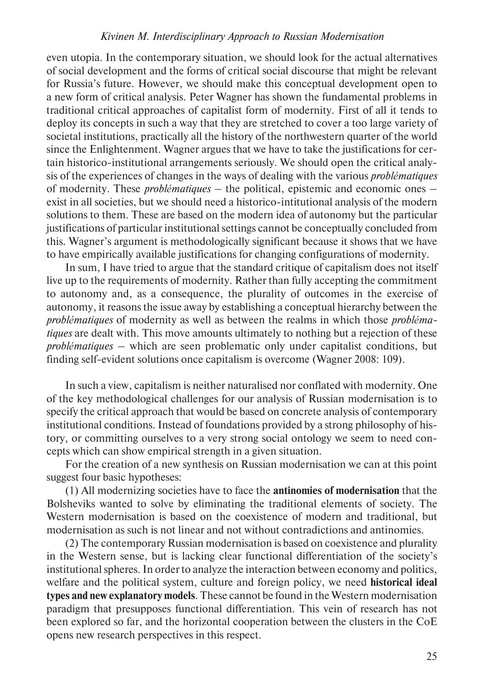even utopia. In the contemporary situation, we should look for the actual alternatives of social development and the forms of critical social discourse that might be relevant for Russia's future. However, we should make this conceptual development open to a new form of critical analysis. Peter Wagner has shown the fundamental problems in traditional critical approaches of capitalist form of modernity. First of all it tends to deploy its concepts in such a way that they are stretched to cover a too large variety of societal institutions, practically all the history of the northwestern quarter of the world since the Enlightenment. Wagner argues that we have to take the justifications for certain historico-institutional arrangements seriously. We should open the critical analysis of the experiences of changes in the ways of dealing with the various *problématiques* of modernity. These *problématiques* – the political, epistemic and economic ones – exist in all societies, but we should need a historico-intitutional analysis of the modern solutions to them. These are based on the modern idea of autonomy but the particular justifications of particular institutional settings cannot be conceptually concluded from this. Wagner's argument is methodologically significant because it shows that we have to have empirically available justifications for changing configurations of modernity.

In sum, I have tried to argue that the standard critique of capitalism does not itself live up to the requirements of modernity. Rather than fully accepting the commitment to autonomy and, as a consequence, the plurality of outcomes in the exercise of autonomy, it reasons the issue away by establishing a conceptual hierarchy between the *problématiques* of modernity as well as between the realms in which those *problématiques* are dealt with. This move amounts ultimately to nothing but a rejection of these *problématiques* – which are seen problematic only under capitalist conditions, but finding self-evident solutions once capitalism is overcome (Wagner 2008: 109).

In such a view, capitalism is neither naturalised nor conflated with modernity. One of the key methodological challenges for our analysis of Russian modernisation is to specify the critical approach that would be based on concrete analysis of contemporary institutional conditions. Instead of foundations provided by a strong philosophy of history, or committing ourselves to a very strong social ontology we seem to need concepts which can show empirical strength in a given situation.

For the creation of a new synthesis on Russian modernisation we can at this point suggest four basic hypotheses:

(1) All modernizing societies have to face the **antinomies of modernisation** that the Bolsheviks wanted to solve by eliminating the traditional elements of society. The Western modernisation is based on the coexistence of modern and traditional, but modernisation as such is not linear and not without contradictions and antinomies.

(2) The contemporary Russian modernisation is based on coexistence and plurality in the Western sense, but is lacking clear functional differentiation of the society's institutional spheres. In order to analyze the interaction between economy and politics, welfare and the political system, culture and foreign policy, we need **historical ideal types and new explanatory models**. These cannot be found in the Western modernisation paradigm that presupposes functional differentiation. This vein of research has not been explored so far, and the horizontal cooperation between the clusters in the CoE opens new research perspectives in this respect.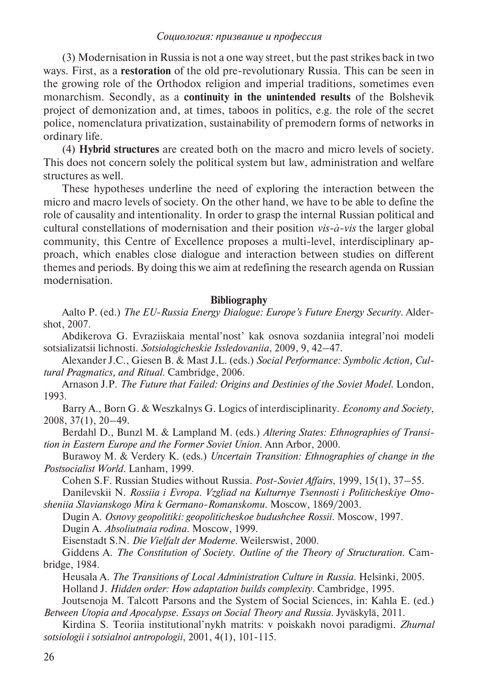(3) Modernisation in Russia is not a one way street, but the past strikes back in two ways. First, as a **restoration** of the old pre-revolutionary Russia. This can be seen in the growing role of the Orthodox religion and imperial traditions, sometimes even monarchism. Secondly, as a **continuity in the unintended results** of the Bolshevik project of demo nization and, at times, taboos in politics, e.g. the role of the secret police, nomenclatura privatization, sustainability of premodern forms of networks in ordinary life.

(4) **Hybrid structures** are created both on the macro and micro levels of society. This does not concern solely the political system but law, administration and welfare structures as well.

These hypotheses underline the need of exploring the interaction between the micro and macro levels of society. On the other hand, we have to be able to define the role of causality and intentionality. In order to grasp the internal Russian political and cultural constellations of modernisation and their position *vis-à-vis* the larger global community, this Centre of Excellence proposes a multi-level, interdisciplinary approach, which enables close dialogue and interaction between studies on different themes and periods. By doing this we aim at redefining the research agenda on Russian modernisation.

#### **Bibliography**

Aalto P. (ed.) *The EU-Russia Energy Dialogue: Europe's Future Energy Security*. Aldershot, 2007.

Abdikerova G. Evraziiskaia mental'nost' kak osnova sozdaniia integral'noi modeli sotsializatsii lichnosti. *Sotsiologicheskie Issledovaniia*, 2009, 9, 42–47.

Alexander J.C., Giesen B. & Mast J.L. (eds.) *Social Performance: Symbolic Action, Cultural Pragmatics, and Ritual*. Cambridge, 2006.

Arnason J.P. *The Future that Failed: Origins and Destinies of the Soviet Model*. London, 1993.

Barry A., Born G. & Weszkalnys G. Logics of interdisciplinarity. *Economy and Society*, 2008, 37(1), 20–49.

Berdahl D., Bunzl M. & Lampland M. (eds.) *Altering States: Ethnographies of Transition in Eastern Europe and the Former Soviet Union*. Ann Arbor, 2000.

Burawoy M. & Verdery K. (eds.) *Uncertain Transition: Ethnographies of change in the Postsocialist World*. Lanham, 1999.

Cohen S.F. Russian Studies without Russia. *Post-Soviet Affairs*, 1999, 15(1), 37–55.

Danilevskii N. *Rossiia i Evropa. Vzgliad na Kulturnye Tsennosti i Politicheskiye Otnosheniia Slavianskogo Mira k Germano-Romanskomu*. Moscow, 1869/2003.

Dugin A. *Osnovy geopolitiki: geopoliticheskoe budushchee Rossii*. Moscow, 1997.

Dugin A. *Absoliutnaia rodina*. Moscow, 1999.

Eisenstadt S.N. *Die Vielfalt der Moderne*. Weilerswist, 2000.

Giddens A. *The Constitution of Society. Outline of the Theory of Structuration*. Cambridge, 1984.

Heusala A. *The Transitions of Local Administration Culture in Russia*. Helsinki, 2005. Holland J. *Hidden order: How adaptation builds complexity*. Cambridge, 1995.

Joutsenoja M. Talcott Parsons and the System of Social Sciences, in: Kahla E. (ed.) *Between Utopia and Apocalypse. Essays on Social Theory and Russia.* Jyväskylä, 2011.

Kirdina S. Teoriia institutional'nykh matrits: v poiskakh novoi paradigmi. *Zhurnal sotsiologii i sotsialnoi antropologii*, 2001, 4(1), 101-115.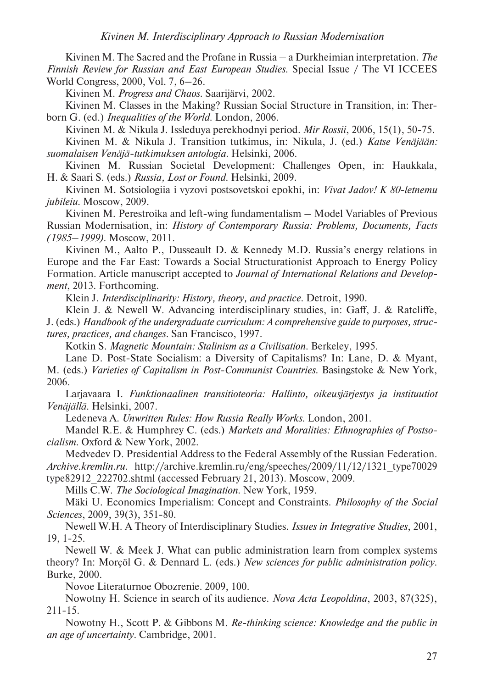Kivinen M. The Sacred and the Profane in Russia – a Durkheimian interpretation. *The Finnish Review for Russian and East European Studies*. Special Issue / The VI ICCEES World Congress, 2000, Vol. 7, 6–26.

Kivinen M. *Progress and Chaos*. Saarijärvi, 2002.

Kivinen M. Classes in the Making? Russian Social Structure in Transition, in: Therborn G. (ed.) *Inequalities of the World*. London, 2006.

Kivinen M. & Nikula J. Issleduya perekhodnyi period. *Mir Rossii*, 2006, 15(1), 50-75.

Kivinen M. & Nikula J. Transition tutkimus, in: Nikula, J. (ed.) *Katse Venäjään: suomalaisen Venäjä-tutkimuksen antologia*. Helsinki, 2006.

Kivinen M. Russian Societal Development: Challenges Open, in: Haukkala, H. & Saari S. (eds.) *Russia, Lost or Found*. Helsinki, 2009.

Kivinen M. Sotsiologiia i vyzovi postsovetskoi epokhi, in: *Vivat Jadov! K 80-letnemu jubileiu*. Moscow, 2009.

Kivinen M. Perestroika and left-wing fundamentalism – Model Variables of Previous Russian Modernisation, in: *History of Contemporary Russia: Problems, Documents, Facts (1985–1999)*. Moscow, 2011.

Kivinen M., Aalto P., Dusseault D. & Kennedy M.D. Russia's energy relations in Europe and the Far East: Towards a Social Structurationist Approach to Energy Policy Formation. Article manuscript accepted to *Journal of International Relations and Development*, 2013. Forthcoming.

Klein J. *Interdisciplinarity: History, theory, and practice*. Detroit, 1990.

Klein J. & Newell W. Advancing interdisciplinary studies, in: Gaff, J. & Ratcliffe, J. (eds.) *Handbook of the undergraduate curriculum: A comprehensive guide to purposes, structures, practices, and changes*. San Francisco, 1997.

Kotkin S. *Magnetic Mountain: Stalinism as a Civilisation*. Berkeley, 1995.

Lane D. Post-State Socialism: a Diversity of Capitalisms? In: Lane, D. & Myant, M. (eds.) *Varieties of Capitalism in Post-Communist Countries*. Basingstoke & New York, 2006.

Larjavaara I. *Funktionaalinen transitioteoria: Hallinto, oikeusjärjestys ja instituutiot Venäjällä*. Helsinki, 2007.

Ledeneva A. *Unwritten Rules: How Russia Really Works*. London, 2001.

Mandel R.E. & Humphrey C. (eds.) *Markets and Moralities: Ethnographies of Postsocialism*. Oxford & New York, 2002.

Medvedev D. Presidential Address to the Federal Assembly of the Russian Federation. *Archive.kremlin.ru*. http://archive.kremlin.ru/eng/speeches/2009/11/12/1321\_type70029 type82912\_222702.shtml (accessed February 21, 2013). Moscow, 2009.

Mills C.W. *The Sociological Imagination*. New York, 1959.

Mäki U. Economics Imperialism: Concept and Constraints. *Philosophy of the Social Sciences*, 2009, 39(3), 351-80.

Newell W.H. A Theory of Interdisciplinary Studies. *Issues in Integrative Studies*, 2001, 19, 1-25.

Newell W. & Meek J. What can public administration learn from complex systems theory? In: Morçöl G. & Dennard L. (eds.) *New sciences for public administration policy*. Burke, 2000.

Novoe Literaturnoe Obozrenie. 2009, 100.

Nowotny H. Science in search of its audience. *Nova Acta Leopoldina*, 2003, 87(325), 211-15.

Nowotny H., Scott P. & Gibbons M. *Re-thinking science: Knowledge and the public in an age of uncertainty*. Cambridge, 2001.